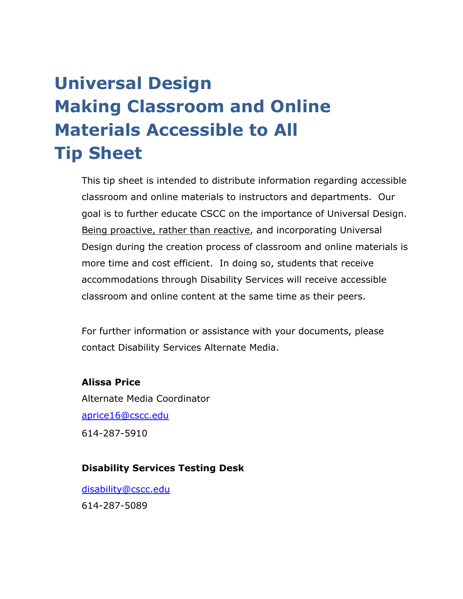# **Universal Design Making Classroom and Online Materials Accessible to All Tip Sheet**

This tip sheet is intended to distribute information regarding accessible classroom and online materials to instructors and departments. Our goal is to further educate CSCC on the importance of Universal Design. Being proactive, rather than reactive, and incorporating Universal Design during the creation process of classroom and online materials is more time and cost efficient. In doing so, students that receive accommodations through Disability Services will receive accessible classroom and online content at the same time as their peers.

For further information or assistance with your documents, please contact Disability Services Alternate Media.

#### **Alissa Price**

Alternate Media Coordinator [aprice16@cscc.edu](mailto:aprice16@cscc.edu) 614-287-5910

#### **Disability Services Testing Desk**

[disability@cscc.edu](mailto:disability@cscc.edu) 614-287-5089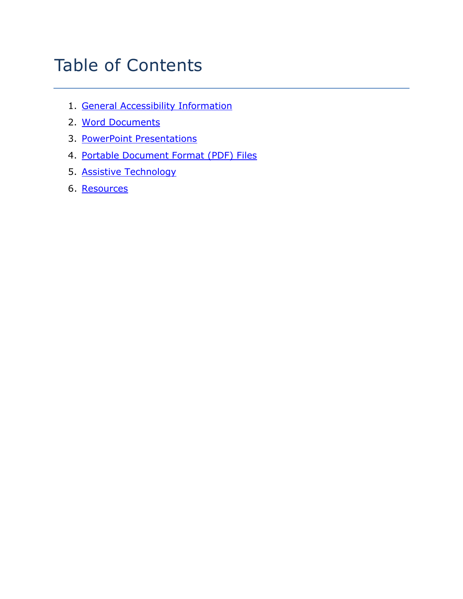# Table of Contents

- 1. [General Accessibility Information](#page-2-0)
- 2. [Word Documents](#page-5-0)
- 3. [PowerPoint Presentations](#page-7-0)
- 4. [Portable Document Format \(PDF\) Files](#page-10-0)
- 5. [Assistive Technology](#page-13-0)
- 6. [Resources](#page-16-0)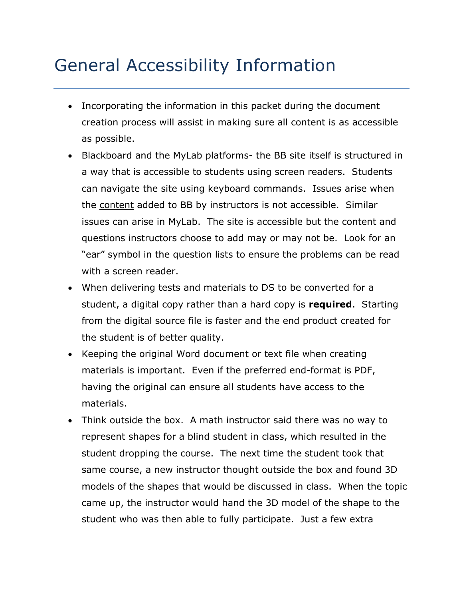# <span id="page-2-0"></span>General Accessibility Information

- Incorporating the information in this packet during the document creation process will assist in making sure all content is as accessible as possible.
- Blackboard and the MyLab platforms- the BB site itself is structured in a way that is accessible to students using screen readers. Students can navigate the site using keyboard commands. Issues arise when the content added to BB by instructors is not accessible. Similar issues can arise in MyLab. The site is accessible but the content and questions instructors choose to add may or may not be. Look for an "ear" symbol in the question lists to ensure the problems can be read with a screen reader.
- When delivering tests and materials to DS to be converted for a student, a digital copy rather than a hard copy is **required**. Starting from the digital source file is faster and the end product created for the student is of better quality.
- Keeping the original Word document or text file when creating materials is important. Even if the preferred end-format is PDF, having the original can ensure all students have access to the materials.
- Think outside the box. A math instructor said there was no way to represent shapes for a blind student in class, which resulted in the student dropping the course. The next time the student took that same course, a new instructor thought outside the box and found 3D models of the shapes that would be discussed in class. When the topic came up, the instructor would hand the 3D model of the shape to the student who was then able to fully participate. Just a few extra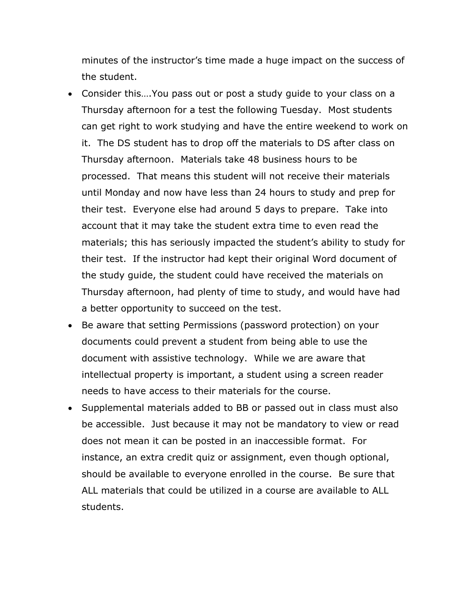minutes of the instructor's time made a huge impact on the success of the student.

- Consider this….You pass out or post a study guide to your class on a Thursday afternoon for a test the following Tuesday. Most students can get right to work studying and have the entire weekend to work on it. The DS student has to drop off the materials to DS after class on Thursday afternoon. Materials take 48 business hours to be processed. That means this student will not receive their materials until Monday and now have less than 24 hours to study and prep for their test. Everyone else had around 5 days to prepare. Take into account that it may take the student extra time to even read the materials; this has seriously impacted the student's ability to study for their test. If the instructor had kept their original Word document of the study guide, the student could have received the materials on Thursday afternoon, had plenty of time to study, and would have had a better opportunity to succeed on the test.
- Be aware that setting Permissions (password protection) on your documents could prevent a student from being able to use the document with assistive technology. While we are aware that intellectual property is important, a student using a screen reader needs to have access to their materials for the course.
- Supplemental materials added to BB or passed out in class must also be accessible. Just because it may not be mandatory to view or read does not mean it can be posted in an inaccessible format. For instance, an extra credit quiz or assignment, even though optional, should be available to everyone enrolled in the course. Be sure that ALL materials that could be utilized in a course are available to ALL students.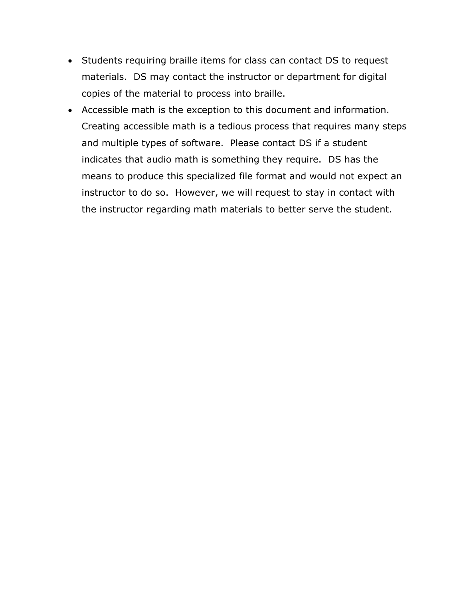- Students requiring braille items for class can contact DS to request materials. DS may contact the instructor or department for digital copies of the material to process into braille.
- Accessible math is the exception to this document and information. Creating accessible math is a tedious process that requires many steps and multiple types of software. Please contact DS if a student indicates that audio math is something they require. DS has the means to produce this specialized file format and would not expect an instructor to do so. However, we will request to stay in contact with the instructor regarding math materials to better serve the student.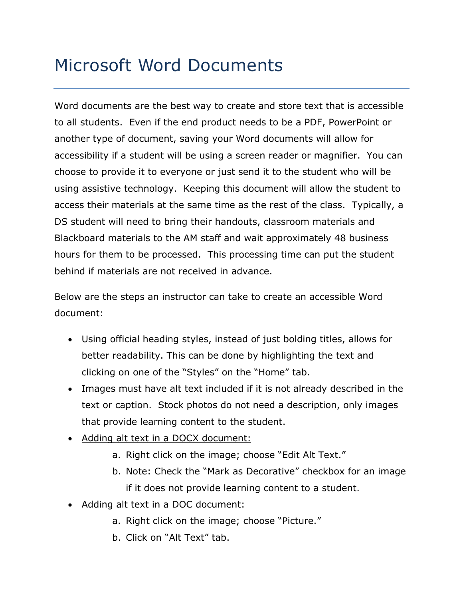# <span id="page-5-0"></span>Microsoft Word Documents

Word documents are the best way to create and store text that is accessible to all students. Even if the end product needs to be a PDF, PowerPoint or another type of document, saving your Word documents will allow for accessibility if a student will be using a screen reader or magnifier. You can choose to provide it to everyone or just send it to the student who will be using assistive technology. Keeping this document will allow the student to access their materials at the same time as the rest of the class. Typically, a DS student will need to bring their handouts, classroom materials and Blackboard materials to the AM staff and wait approximately 48 business hours for them to be processed. This processing time can put the student behind if materials are not received in advance.

Below are the steps an instructor can take to create an accessible Word document:

- Using official heading styles, instead of just bolding titles, allows for better readability. This can be done by highlighting the text and clicking on one of the "Styles" on the "Home" tab.
- Images must have alt text included if it is not already described in the text or caption. Stock photos do not need a description, only images that provide learning content to the student.
- Adding alt text in a DOCX document:
	- a. Right click on the image; choose "Edit Alt Text."
	- b. Note: Check the "Mark as Decorative" checkbox for an image if it does not provide learning content to a student.
- Adding alt text in a DOC document:
	- a. Right click on the image; choose "Picture."
	- b. Click on "Alt Text" tab.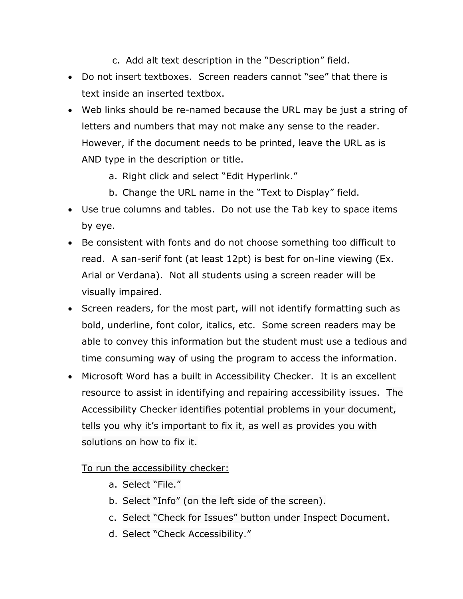- c. Add alt text description in the "Description" field.
- Do not insert textboxes. Screen readers cannot "see" that there is text inside an inserted textbox.
- Web links should be re-named because the URL may be just a string of letters and numbers that may not make any sense to the reader. However, if the document needs to be printed, leave the URL as is AND type in the description or title.
	- a. Right click and select "Edit Hyperlink."
	- b. Change the URL name in the "Text to Display" field.
- Use true columns and tables. Do not use the Tab key to space items by eye.
- Be consistent with fonts and do not choose something too difficult to read. A san-serif font (at least 12pt) is best for on-line viewing (Ex. Arial or Verdana). Not all students using a screen reader will be visually impaired.
- Screen readers, for the most part, will not identify formatting such as bold, underline, font color, italics, etc. Some screen readers may be able to convey this information but the student must use a tedious and time consuming way of using the program to access the information.
- Microsoft Word has a built in Accessibility Checker. It is an excellent resource to assist in identifying and repairing accessibility issues. The Accessibility Checker identifies potential problems in your document, tells you why it's important to fix it, as well as provides you with solutions on how to fix it.

To run the accessibility checker:

- a. Select "File."
- b. Select "Info" (on the left side of the screen).
- c. Select "Check for Issues" button under Inspect Document.
- d. Select "Check Accessibility."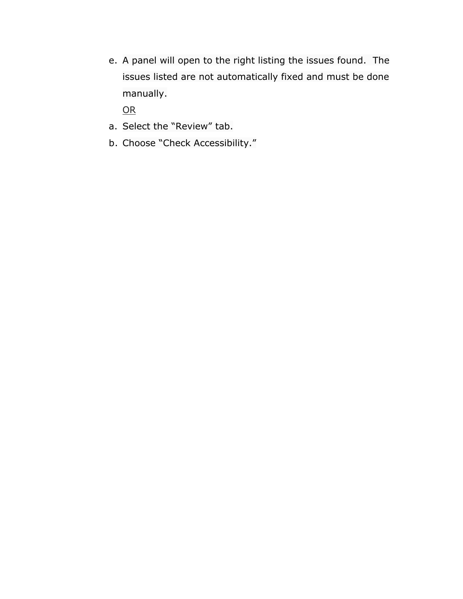e. A panel will open to the right listing the issues found. The issues listed are not automatically fixed and must be done manually.

OR

- a. Select the "Review" tab.
- <span id="page-7-0"></span>b. Choose "Check Accessibility."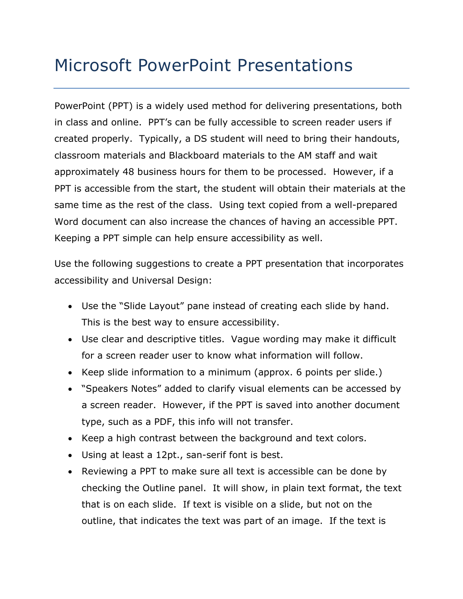## Microsoft PowerPoint Presentations

PowerPoint (PPT) is a widely used method for delivering presentations, both in class and online. PPT's can be fully accessible to screen reader users if created properly. Typically, a DS student will need to bring their handouts, classroom materials and Blackboard materials to the AM staff and wait approximately 48 business hours for them to be processed. However, if a PPT is accessible from the start, the student will obtain their materials at the same time as the rest of the class. Using text copied from a well-prepared Word document can also increase the chances of having an accessible PPT. Keeping a PPT simple can help ensure accessibility as well.

Use the following suggestions to create a PPT presentation that incorporates accessibility and Universal Design:

- Use the "Slide Layout" pane instead of creating each slide by hand. This is the best way to ensure accessibility.
- Use clear and descriptive titles. Vague wording may make it difficult for a screen reader user to know what information will follow.
- Keep slide information to a minimum (approx. 6 points per slide.)
- "Speakers Notes" added to clarify visual elements can be accessed by a screen reader. However, if the PPT is saved into another document type, such as a PDF, this info will not transfer.
- Keep a high contrast between the background and text colors.
- Using at least a 12pt., san-serif font is best.
- Reviewing a PPT to make sure all text is accessible can be done by checking the Outline panel. It will show, in plain text format, the text that is on each slide. If text is visible on a slide, but not on the outline, that indicates the text was part of an image. If the text is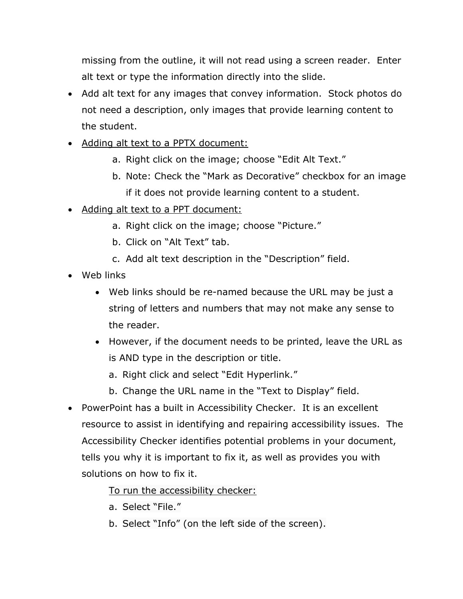missing from the outline, it will not read using a screen reader. Enter alt text or type the information directly into the slide.

- Add alt text for any images that convey information. Stock photos do not need a description, only images that provide learning content to the student.
- Adding alt text to a PPTX document:
	- a. Right click on the image; choose "Edit Alt Text."
	- b. Note: Check the "Mark as Decorative" checkbox for an image if it does not provide learning content to a student.
- Adding alt text to a PPT document:
	- a. Right click on the image; choose "Picture."
	- b. Click on "Alt Text" tab.
	- c. Add alt text description in the "Description" field.
- Web links
	- Web links should be re-named because the URL may be just a string of letters and numbers that may not make any sense to the reader.
	- However, if the document needs to be printed, leave the URL as is AND type in the description or title.
		- a. Right click and select "Edit Hyperlink."
		- b. Change the URL name in the "Text to Display" field.
- PowerPoint has a built in Accessibility Checker. It is an excellent resource to assist in identifying and repairing accessibility issues. The Accessibility Checker identifies potential problems in your document, tells you why it is important to fix it, as well as provides you with solutions on how to fix it.

To run the accessibility checker:

- a. Select "File."
- b. Select "Info" (on the left side of the screen).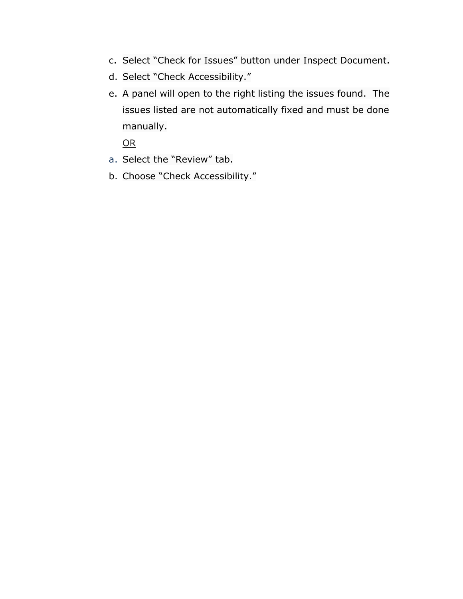- c. Select "Check for Issues" button under Inspect Document.
- d. Select "Check Accessibility."
- e. A panel will open to the right listing the issues found. The issues listed are not automatically fixed and must be done manually.

OR

- a. Select the "Review" tab.
- <span id="page-10-0"></span>b. Choose "Check Accessibility."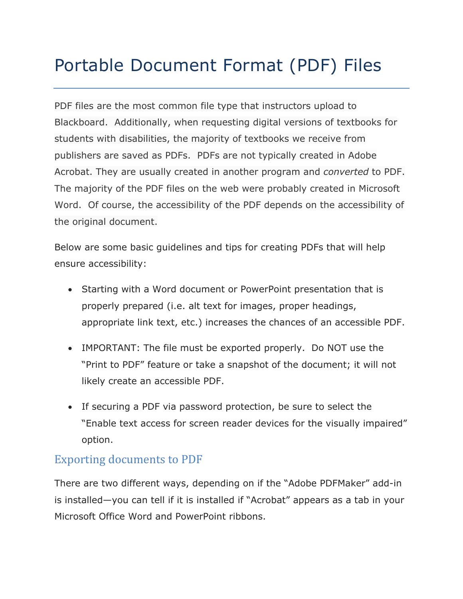# Portable Document Format (PDF) Files

PDF files are the most common file type that instructors upload to Blackboard. Additionally, when requesting digital versions of textbooks for students with disabilities, the majority of textbooks we receive from publishers are saved as PDFs. PDFs are not typically created in Adobe Acrobat. They are usually created in another program and *converted* to PDF. The majority of the PDF files on the web were probably created in Microsoft Word. Of course, the accessibility of the PDF depends on the accessibility of the original document.

Below are some basic guidelines and tips for creating PDFs that will help ensure accessibility:

- Starting with a Word document or PowerPoint presentation that is properly prepared (i.e. alt text for images, proper headings, appropriate link text, etc.) increases the chances of an accessible PDF.
- IMPORTANT: The file must be exported properly. Do NOT use the "Print to PDF" feature or take a snapshot of the document; it will not likely create an accessible PDF.
- If securing a PDF via password protection, be sure to select the "Enable text access for screen reader devices for the visually impaired" option.

### Exporting documents to PDF

There are two different ways, depending on if the "Adobe PDFMaker" add-in is installed—you can tell if it is installed if "Acrobat" appears as a tab in your Microsoft Office Word and PowerPoint ribbons.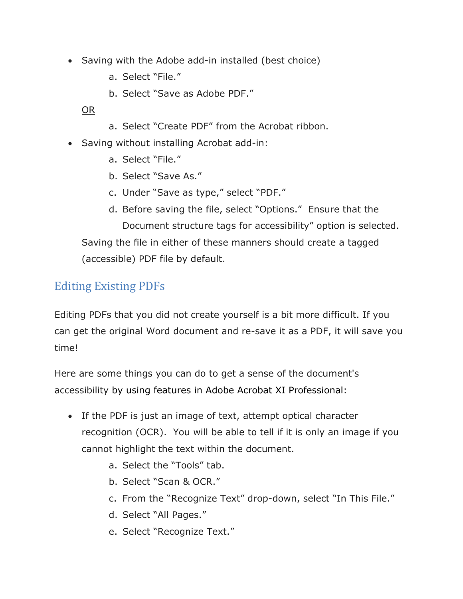- Saving with the Adobe add-in installed (best choice)
	- a. Select "File."
	- b. Select "Save as Adobe PDF."

OR

- a. Select "Create PDF" from the Acrobat ribbon.
- Saving without installing Acrobat add-in:
	- a. Select "File."
	- b. Select "Save As."
	- c. Under "Save as type," select "PDF."
	- d. Before saving the file, select "Options." Ensure that the Document structure tags for accessibility" option is selected. Saving the file in either of these manners should create a tagged (accessible) PDF file by default.

### Editing Existing PDFs

Editing PDFs that you did not create yourself is a bit more difficult. If you can get the original Word document and re-save it as a PDF, it will save you time!

Here are some things you can do to get a sense of the document's accessibility by using features in Adobe Acrobat XI Professional:

- If the PDF is just an image of text, attempt optical character recognition (OCR). You will be able to tell if it is only an image if you cannot highlight the text within the document.
	- a. Select the "Tools" tab.
	- b. Select "Scan & OCR."
	- c. From the "Recognize Text" drop-down, select "In This File."
	- d. Select "All Pages."
	- e. Select "Recognize Text."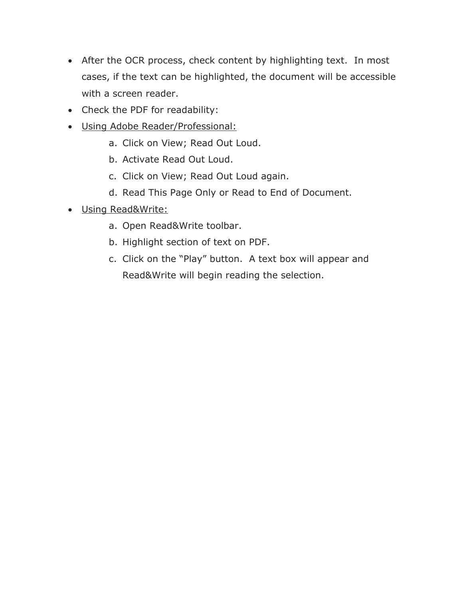- After the OCR process, check content by highlighting text. In most cases, if the text can be highlighted, the document will be accessible with a screen reader.
- Check the PDF for readability:
- Using Adobe Reader/Professional:
	- a. Click on View; Read Out Loud.
	- b. Activate Read Out Loud.
	- c. Click on View; Read Out Loud again.
	- d. Read This Page Only or Read to End of Document.
- <span id="page-13-0"></span>• Using Read&Write:
	- a. Open Read&Write toolbar.
	- b. Highlight section of text on PDF.
	- c. Click on the "Play" button. A text box will appear and Read&Write will begin reading the selection.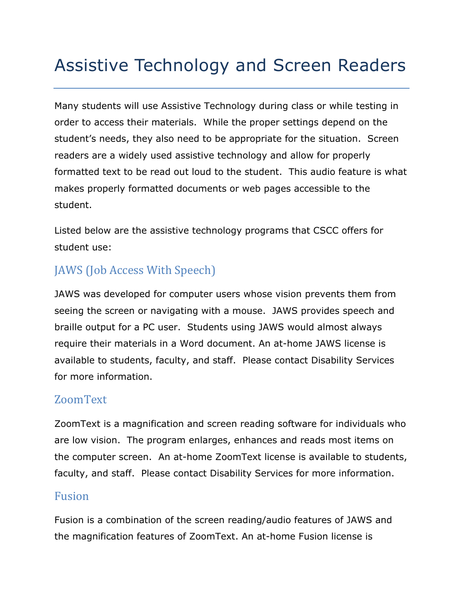# Assistive Technology and Screen Readers

Many students will use Assistive Technology during class or while testing in order to access their materials. While the proper settings depend on the student's needs, they also need to be appropriate for the situation. Screen readers are a widely used assistive technology and allow for properly formatted text to be read out loud to the student. This audio feature is what makes properly formatted documents or web pages accessible to the student.

Listed below are the assistive technology programs that CSCC offers for student use:

### JAWS (Job Access With Speech)

JAWS was developed for computer users whose vision prevents them from seeing the screen or navigating with a mouse. JAWS provides speech and braille output for a PC user. Students using JAWS would almost always require their materials in a Word document. An at-home JAWS license is available to students, faculty, and staff. Please contact Disability Services for more information.

### ZoomText

ZoomText is a magnification and screen reading software for individuals who are low vision. The program enlarges, enhances and reads most items on the computer screen. An at-home ZoomText license is available to students, faculty, and staff. Please contact Disability Services for more information.

#### Fusion

Fusion is a combination of the screen reading/audio features of JAWS and the magnification features of ZoomText. An at-home Fusion license is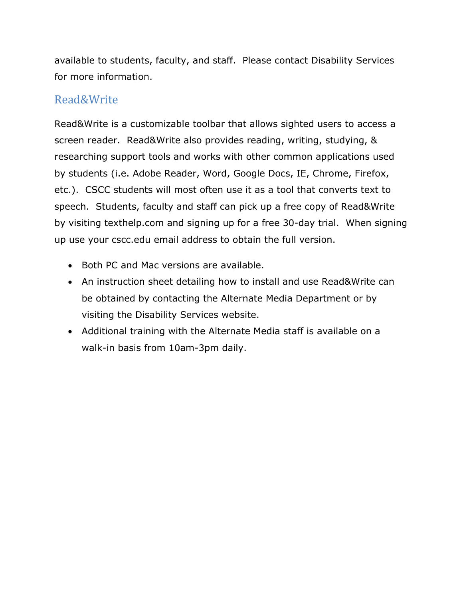available to students, faculty, and staff. Please contact Disability Services for more information.

### Read&Write

Read&Write is a customizable toolbar that allows sighted users to access a screen reader. Read&Write also provides reading, writing, studying, & researching support tools and works with other common applications used by students (i.e. Adobe Reader, Word, Google Docs, IE, Chrome, Firefox, etc.). CSCC students will most often use it as a tool that converts text to speech. Students, faculty and staff can pick up a free copy of Read&Write by visiting texthelp.com and signing up for a free 30-day trial. When signing up use your cscc.edu email address to obtain the full version.

- Both PC and Mac versions are available.
- An instruction sheet detailing how to install and use Read&Write can be obtained by contacting the Alternate Media Department or by visiting the Disability Services website.
- Additional training with the Alternate Media staff is available on a walk-in basis from 10am-3pm daily.